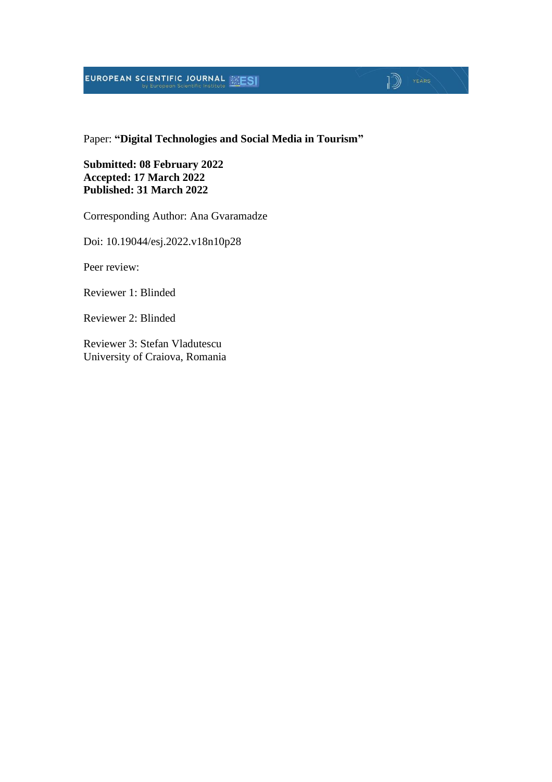# **EUROPEAN SCIENTIFIC JOURNAL EXESI**

### Paper: **"Digital Technologies and Social Media in Tourism"**

 $\sqrt{2}$   $\sqrt{2}$ 

**Submitted: 08 February 2022 Accepted: 17 March 2022 Published: 31 March 2022**

Corresponding Author: Ana Gvaramadze

Doi: 10.19044/esj.2022.v18n10p28

Peer review:

Reviewer 1: Blinded

Reviewer 2: Blinded

Reviewer 3: Stefan Vladutescu University of Craiova, Romania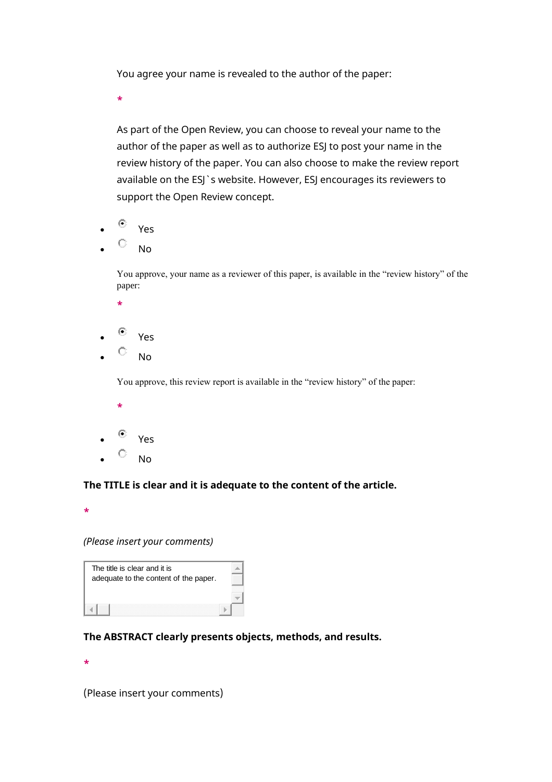You agree your name is revealed to the author of the paper:

**\***

As part of the Open Review, you can choose to reveal your name to the author of the paper as well as to authorize ESJ to post your name in the review history of the paper. You can also choose to make the review report available on the ESJ`s website. However, ESJ encourages its reviewers to support the Open Review concept.

- $^{\circledcirc}$  Yes
- $\overline{\circ}$  No

You approve, your name as a reviewer of this paper, is available in the "review history" of the paper:

- **\***
- $\circ$  Yes
- $\circ$  No

You approve, this review report is available in the "review history" of the paper:

- **\***
- $^{\circledcirc}$  Yes
- $\overline{\circ}$  No

#### **The TITLE is clear and it is adequate to the content of the article.**

**\***

*(Please insert your comments)*

| The title is clear and it is<br>adequate to the content of the paper. |  |
|-----------------------------------------------------------------------|--|
|                                                                       |  |
|                                                                       |  |

#### **The ABSTRACT clearly presents objects, methods, and results.**

**\***

(Please insert your comments)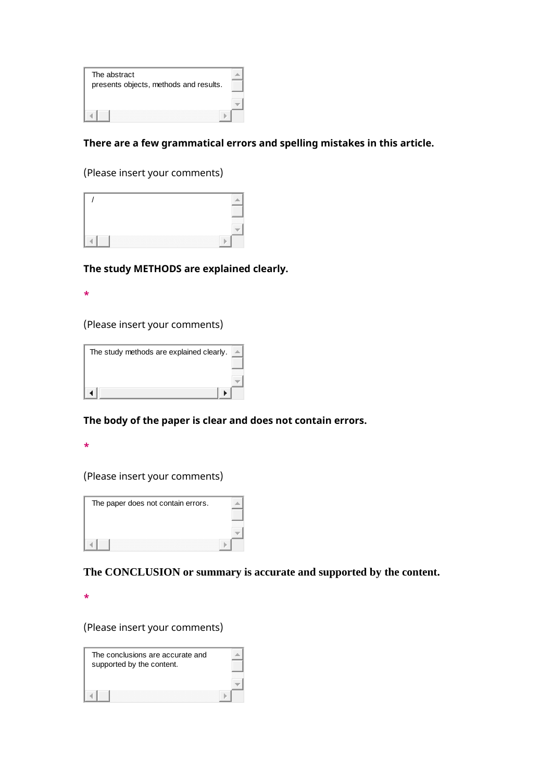| The abstract                           |  |
|----------------------------------------|--|
| presents objects, methods and results. |  |
|                                        |  |
|                                        |  |
|                                        |  |

## **There are a few grammatical errors and spelling mistakes in this article.**

(Please insert your comments)



#### **The study METHODS are explained clearly.**

**\***

(Please insert your comments)



#### **The body of the paper is clear and does not contain errors.**

**\***

(Please insert your comments)



**The CONCLUSION or summary is accurate and supported by the content.**

**\***

(Please insert your comments)

| The conclusions are accurate and |  |
|----------------------------------|--|
| supported by the content.        |  |
|                                  |  |
|                                  |  |
|                                  |  |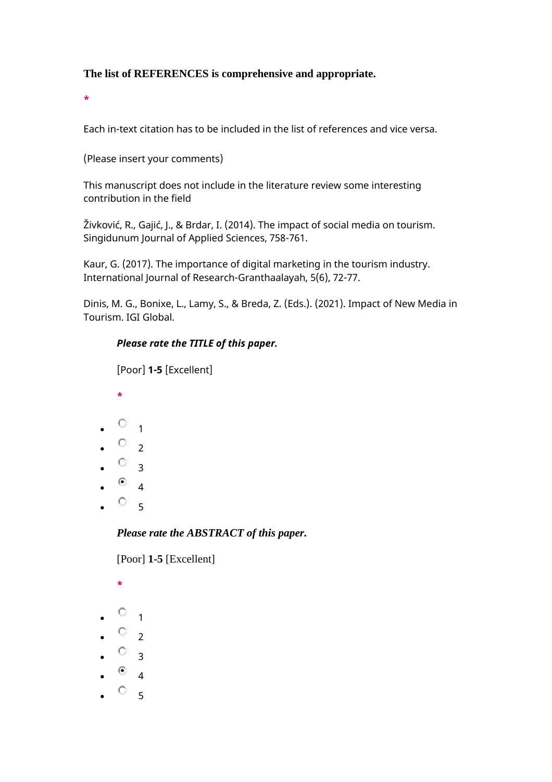## **The list of REFERENCES is comprehensive and appropriate.**

**\***

Each in-text citation has to be included in the list of references and vice versa.

(Please insert your comments)

This manuscript does not include in the literature review some interesting contribution in the field

Živković, R., Gajić, J., & Brdar, I. (2014). The impact of social media on tourism. Singidunum Journal of Applied Sciences, 758-761.

Kaur, G. (2017). The importance of digital marketing in the tourism industry. International Journal of Research-Granthaalayah, 5(6), 72-77.

Dinis, M. G., Bonixe, L., Lamy, S., & Breda, Z. (Eds.). (2021). Impact of New Media in Tourism. IGI Global.

#### *Please rate the TITLE of this paper.*

[Poor] **1-5** [Excellent]

- **\***
- $\circ$  1
- $\bullet$   $\circ$  2
- $\cdot$   $\circ$  3
- 
- $^{\circ}$  4
- $\circ$  5

#### *Please rate the ABSTRACT of this paper.*

[Poor] **1-5** [Excellent]

- **\***  $\circ$  1  $\bullet$   $\circ$  2
- $\bullet$   $\circ$  3
- $\circ$  4
- $\circ$  5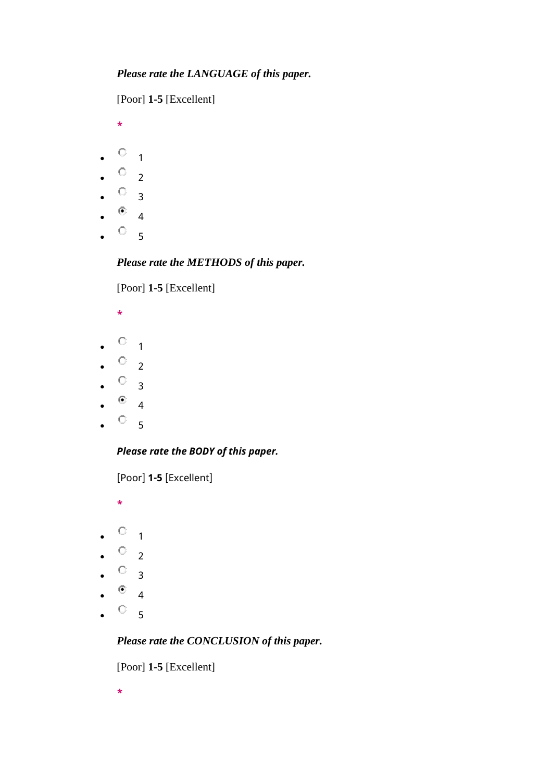[Poor] **1-5** [Excellent]

**\***

- $\bullet$   $\circ$   $\bullet$  1
- $\circ$  2
- $\circ$  3
- $\circ$  4
- $\circ$  5
- 

# *Please rate the METHODS of this paper.*

[Poor] **1-5** [Excellent]

- **\***
- $\bullet$   $\circ$   $\bullet$
- $\circ$  2
- $\cdot$   $\circ$  3
- $\bullet$  4
- $\circ$   $_{5}$

# *Please rate the BODY of this paper.*

[Poor] **1-5** [Excellent]

**\***

- $\bullet$  0 1
- $\circ$  2
- $\circ$  3
- $\bullet$  4
- $\circ$  5

*Please rate the CONCLUSION of this paper.*

[Poor] **1-5** [Excellent]

**\***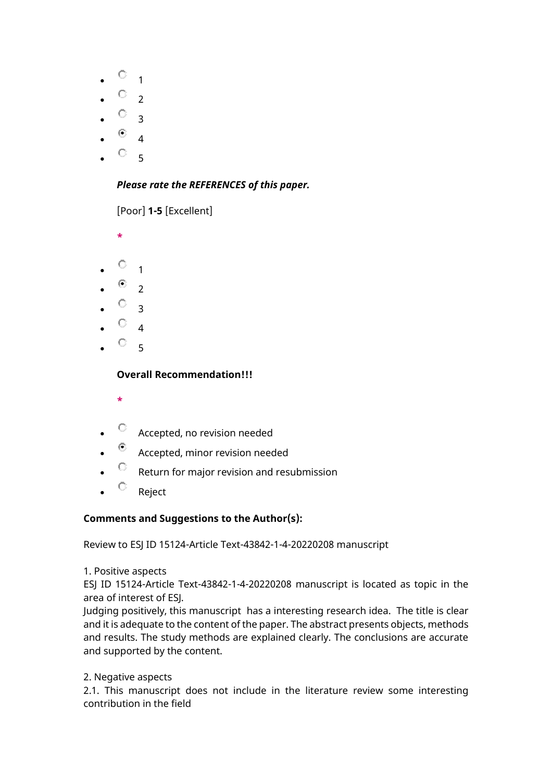- $\circ$   $_1$
- $\circ$  2
- $\circ$  3
- 
- $\bullet$  4
- $\circ$  5

# *Please rate the REFERENCES of this paper.*

[Poor] **1-5** [Excellent]

**\***

- $\circ$  1
- $\bullet$  2
- $\circ$  3
- 
- $\circ$  4
- $\circ$  5

# **Overall Recommendation!!!**

- **\***
- $\circledcirc$  Accepted, no revision needed
- $\bullet$  Accepted, minor revision needed
- $\bullet$  Return for major revision and resubmission
- $\circ$  Reject

# **Comments and Suggestions to the Author(s):**

Review to ESJ ID 15124-Article Text-43842-1-4-20220208 manuscript

# 1. Positive aspects

ESJ ID 15124-Article Text-43842-1-4-20220208 manuscript is located as topic in the area of interest of ESJ.

Judging positively, this manuscript has a interesting research idea. The title is clear and it is adequate to the content of the paper. The abstract presents objects, methods and results. The study methods are explained clearly. The conclusions are accurate and supported by the content.

2. Negative aspects

2.1. This manuscript does not include in the literature review some interesting contribution in the field